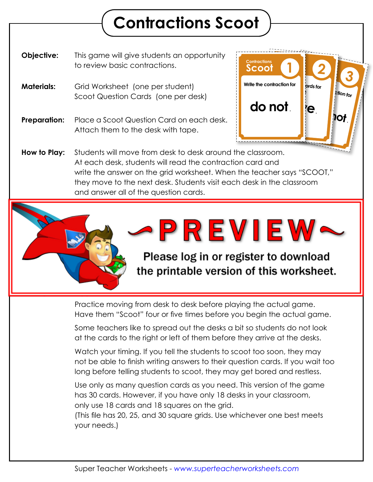## **Contractions Scoot**

**Objective:** This game will give students an opportunity to review basic contractions.

- **Materials:** Grid Worksheet (one per student) Scoot Question Cards (one per desk)
- **Preparation:** Place a Scoot Question Card on each desk. Attach them to the desk with tape.



**How to Play:** Students will move from desk to desk around the classroom. At each desk, students will read the contraction card and write the answer on the grid worksheet. When the teacher says "SCOOT," they move to the next desk. Students visit each desk in the classroom and answer all of the question cards.



Practice moving from desk to desk before playing the actual game. Have them "Scoot" four or five times before you begin the actual game.

Some teachers like to spread out the desks a bit so students do not look at the cards to the right or left of them before they arrive at the desks.

Watch your timing. If you tell the students to scoot too soon, they may not be able to finish writing answers to their question cards. If you wait too long before telling students to scoot, they may get bored and restless.

Use only as many question cards as you need. This version of the game has 30 cards. However, if you have only 18 desks in your classroom, only use 18 cards and 18 squares on the grid.

(This file has 20, 25, and 30 square grids. Use whichever one best meets your needs.)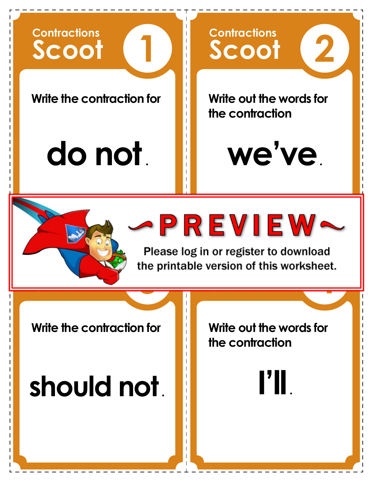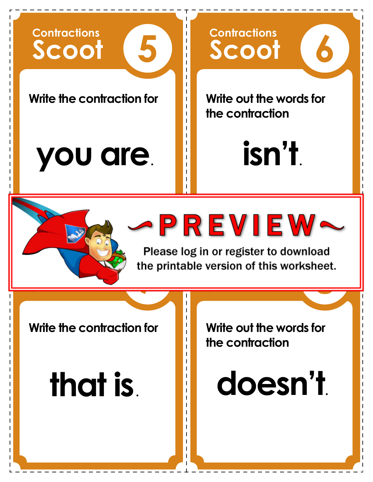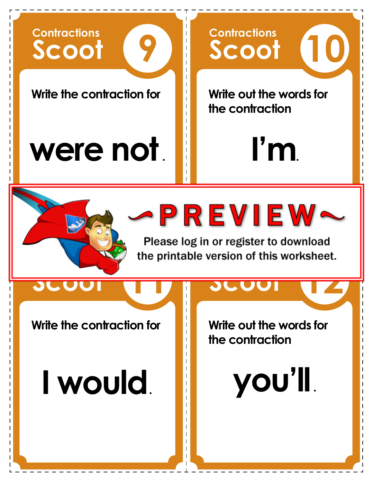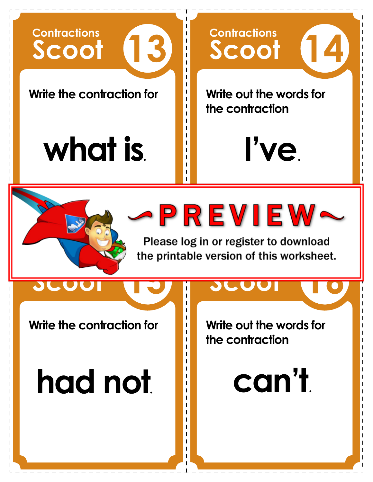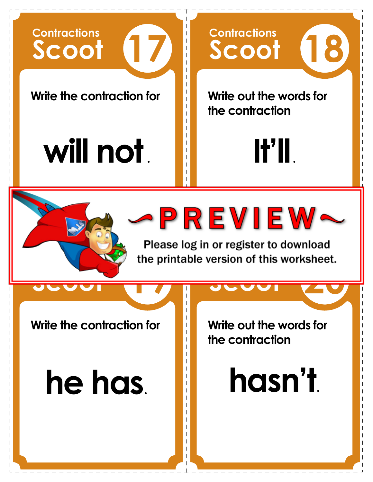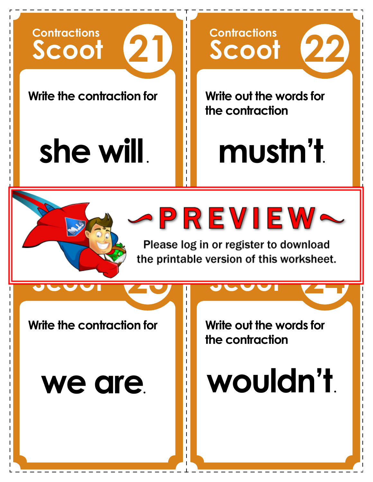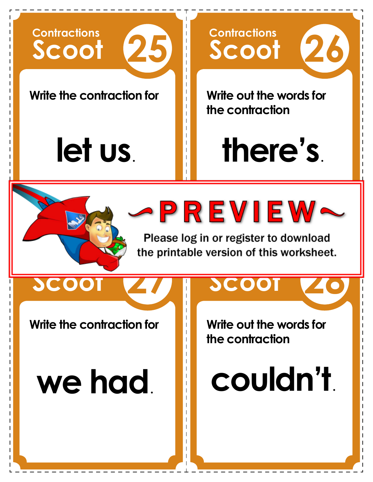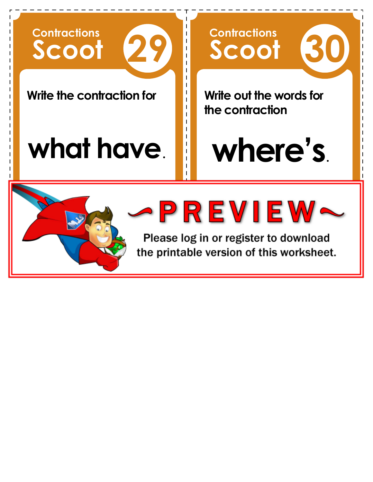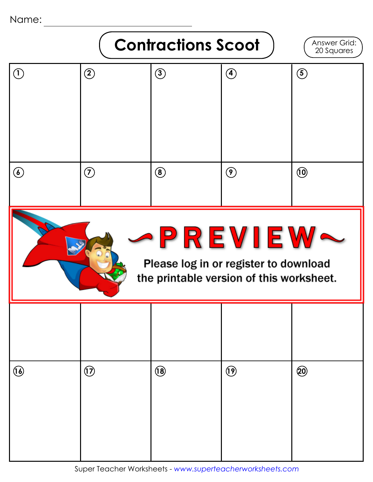Name:



Super Teacher Worksheets - *www.superteacherworksheets.com*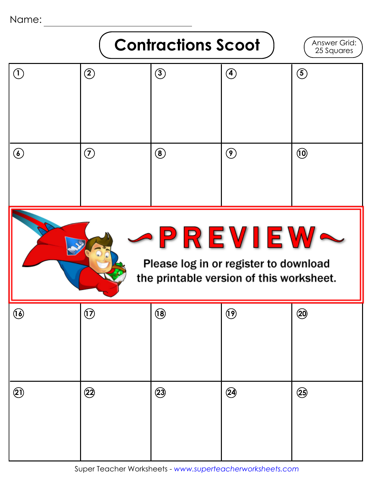Name:

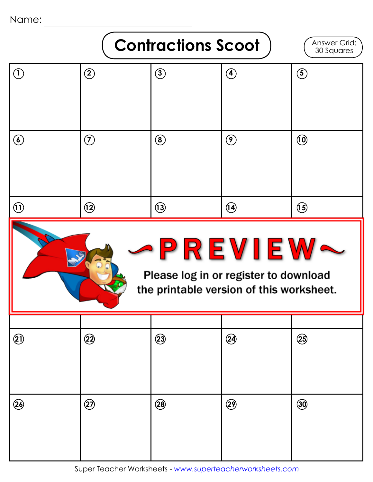Name:

## **Contractions Scoot**